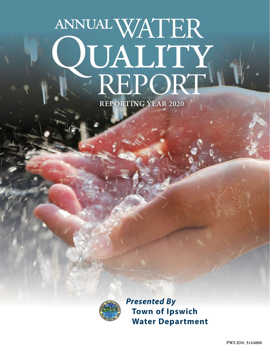# WATER VLALITY<br>REPORT annual **REPORTING YEAR 2020**



*Presented By* **Town of Ipswich Water Department**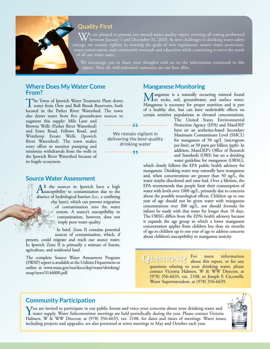## **Quality First**

 $\bf{V}$ 7e are pleased to present our annual water quality report covering all testing performed between January 1 and December 31, 2020. As new challenges to drinking water safety emerge, we remain vigilant in meeting the goals of new regulations, source water protection, water conservation, and community outreach and education while continuing to serve the needs of all our water users.

We encourage you to share your thoughts with us on the information contained in this report. After all, well-informed customers are our best allies.

#### **Where Does My Water Come From?**

The Town of Ipswich Water Treatment Plant draws<br>water from Dow and Bull Brook Reservoirs, both<br>larged in the Britan Bines Westerhald Theory located in the Parker River Watershed. The town also draws water from five groundwater sources to

augment this supply: Mile Lane and Browns Wells (Parker River Watershed) and Essex Road, Fellows Road, and Winthrop Estate Wells (Ipswich River Watershed). The town makes every effort to monitor pumping and minimize withdrawals from the wells in the Ipswich River Watershed because of its fragile ecosystem.

#### **Source Water Assessment**

 $A<sup>II</sup>$  the sources in Ipswich have a high susceptibility to contamination due to the sharp of budgetonial burnian  $(i)$  a confining absence of hydrological barriers (i.e., a confining clay layer), which can prevent migration of contamination into the water system. A source's susceptibility to contamination, however, does not imply poor water quality.

> In brief, Zone II contains potential sources of contamination, which, if

present, could migrate and reach our source water. In Ipswich Zone II is primarily a mixture of forests, agriculture, and residential land.

The complete Source Water Assessment Program (SWAP) report is available at the Utilities Department or online at [www.mass.gov/eea/docs/dep/water/drinking/](http://www.mass.gov/eea/docs/dep/water/drinking/swap/nero/3144000.pdf) [swap/nero/3144000.pdf.](http://www.mass.gov/eea/docs/dep/water/drinking/swap/nero/3144000.pdf)

#### **Manganese Monitoring**

Manganese is a naturally occurring mineral found<br>Min rocks, soil, groundwater, and surface water. Manganese is necessary for proper nutrition and is part of a healthy diet, but can have undesirable effects on certain sensitive populations at elevated concentrations.

The United States Environmental Protection Agency (EPA) and MassDEP have set an aesthetics-based Secondary Maximum Contaminant Level (SMCL) for manganese of 50 ug/L (microgram per liter), or 50 parts per billion (ppb). In addition, MassDEP's Office of Research and Standards (ORS) has set a drinking water guideline for manganese (ORSG),

which closely follows the EPA public health advisory for manganese. Drinking water may naturally have manganese and, when concentrations are greater than 50 ug/L, the water maybe discolored and taste bad. Over a lifetime, the EPA recommends that people limit their consumption of water with levels over 1000 ug/L, primarily due to concerns about the possible neurological effects. Children up to one year of age should not be given water with manganese concentrations over 300 ug/L, nor should formula for infants be made with that water for longer than 10 days. The ORSG differs from the EPA's health advisory because it expands the age group to which a lower manganese concentration applies from children less than six months of age to children up to one year of age to address concerns about children's susceptibility to manganese toxicity.

**QUESTIONS?** For more information questions relating to your drinking water, please contact Victoria Halmen, W & WW Director, at (978) 356-6635, ext. 2108, or Joseph F. Ciccotelli, Water Superintendent, at (978) 356-6639.

#### **Community Participation**

**Y**ou are invited to participate in our public forum and voice your concerns about your drinking water and water supply. Water Subcommittee meetings are held periodically during the year. Please contact Victoria Labreau W. Halmen, W & WW Director, at (978) 356-6635, ext. 2108, for dates and times of meetings. Water issues, including projects and upgrades, are also presented at town meetings in May and October each year.





99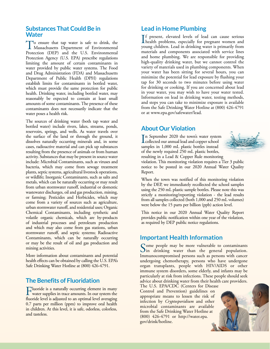#### **Substances That Could Be in Water**

To ensure that tap water is safe to drink, the Massachusetts Department of Environmental Protection (DEP) and the U.S. Environmental Protection Agency (U.S. EPA) prescribe regulations limiting the amount of certain contaminants in water provided by public water systems. The Food and Drug Administration (FDA) and Massachusetts Department of Public Health (DPH) regulations establish limits for contaminants in bottled water, which must provide the same protection for public health. Drinking water, including bottled water, may reasonably be expected to contain at least small amounts of some contaminants. The presence of these contaminants does not necessarily indicate that the water poses a health risk.

The sources of drinking water (both tap water and bottled water) include rivers, lakes, streams, ponds, reservoirs, springs, and wells. As water travels over the surface of the land or through the ground, it dissolves naturally occurring minerals and, in some cases, radioactive material and can pick up substances resulting from the presence of animals or from human activity. Substances that may be present in source water include: Microbial Contaminants, such as viruses and bacteria, which may come from sewage treatment plants, septic systems, agricultural livestock operations, or wildlife; Inorganic Contaminants, such as salts and metals, which can be naturally occurring or may result from urban stormwater runoff, industrial or domestic wastewater discharges, oil and gas production, mining, or farming; Pesticides and Herbicides, which may come from a variety of sources such as agriculture, urban stormwater runoff, and residential uses; Organic Chemical Contaminants, including synthetic and volatile organic chemicals, which are by-products of industrial processes and petroleum production and which may also come from gas stations, urban stormwater runoff, and septic systems; Radioactive Contaminants, which can be naturally occurring or may be the result of oil and gas production and mining activities.

More information about contaminants and potential health effects can be obtained by calling the U.S. EPA's Safe Drinking Water Hotline at (800) 426-4791.

#### **The Benefits of Fluoridation**

Fluoride is a naturally occurring element in many<br>water supplies in trace amounts. In our system the<br>fluorida land is adjusted to an antimal land supposing fluoride level is adjusted to an optimal level averaging 0.7 parts per million (ppm) to improve oral health in children. At this level, it is safe, odorless, colorless, and tasteless.

#### **Lead in Home Plumbing**

If present, elevated levels of lead can cause serious<br>health problems, especially for pregnant women and<br>www.a-kildren. Lead in drinking wyter is primarily from f present, elevated levels of lead can cause serious young children. Lead in drinking water is primarily from materials and components associated with service lines and home plumbing. We are responsible for providing high-quality drinking water, but we cannot control the variety of materials used in plumbing components. When your water has been sitting for several hours, you can minimize the potential for lead exposure by flushing your tap for 30 seconds to two minutes before using water for drinking or cooking. If you are concerned about lead in your water, you may wish to have your water tested. Information on lead in drinking water, testing methods, and steps you can take to minimize exposure is available from the Safe Drinking Water Hotline at (800) 426-4791 or at [www.epa.gov/safewater/lead.](http://www.epa.gov/safewater/lead)

#### **About Our Violation**

In September 2020 the town's water system<br>collected our annual lead and copper school n September 2020 the town's water system samples in 1,000 mL plastic bottles instead of the newly required 250 mL plastic bottles, resulting in a Lead & Copper Rule monitoring



violation. This monitoring violation requires a Tier 3 public notice to be posted in our 2020 Annual Water Quality Report.

When the town was notified of this monitoring violation by the DEP, we immediately recollected the school samples using the 250 mL plastic sample bottles. Please note this was strictly a monitoring/reporting violation - the lead results from all samples collected (both 1,000 and 250 mL volumes) were below the 15 parts per billion (ppb) action level.

This notice in our 2020 Annual Water Quality Report provides public notification within one year of the violation, as required by DEP public notice regulations.

#### **Important Health Information**

Some people may be more vulnerable to contaminants<br>In drinking water than the general population. Immunocompromised persons such as persons with cancer undergoing chemotherapy, persons who have undergone organ transplants, people with HIV/AIDS or other immune system disorders, some elderly, and infants may be particularly at risk from infections. These people should seek advice about drinking water from their health care providers.

The U.S. EPA/CDC (Centers for Disease Control and Prevention) guidelines on appropriate means to lessen the risk of infection by *Cryptosporidium* and other microbial contaminants are available from the Safe Drinking Water Hotline at (800) 426-4791 or [http://water.epa.](http://water.epa.gov/drink/hotline) [gov/drink/hotline](http://water.epa.gov/drink/hotline).

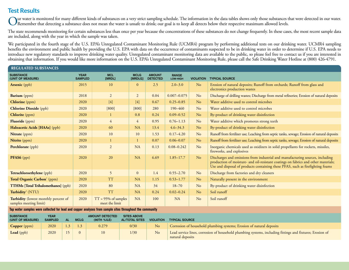### **Test Results**

ur water is monitored for many different kinds of substances on a very strict sampling schedule. The information in the data tables shows only those substances that were detected in our water. Remember that detecting a substance does not mean the water is unsafe to drink; our goal is to keep all detects below their respective maximum allowed levels.

The state recommends monitoring for certain substances less than once per year because the concentrations of these substances do not change frequently. In these cases, the most recent sample data are included, along with the year in which the sample was taken.

We participated in the fourth stage of the U.S. EPA's Unregulated Contaminant Monitoring Rule (UCMR4) program by performing additional tests on our drinking water. UCMR4 sampling benefits the environment and public health by providing the U.S. EPA with data on the occurrence of contaminants suspected to be in drinking water in order to determine if U.S. EPA needs to introduce new regulatory standards to improve drinking water quality. Unregulated contaminant monitoring data are available to the public, so please feel free to contact us if you are interested in obtaining that information. If you would like more information on the U.S. EPA's Unregulated Contaminant Monitoring Rule, please call the Safe Drinking Water Hotline at (800) 426-4791.

| <b>REGULATED SUBSTANCES</b>                                    |                               |                                         |                        |                                  |                          |                  |                                                                                                                                                                                                                                                       |  |
|----------------------------------------------------------------|-------------------------------|-----------------------------------------|------------------------|----------------------------------|--------------------------|------------------|-------------------------------------------------------------------------------------------------------------------------------------------------------------------------------------------------------------------------------------------------------|--|
| <b>SUBSTANCE</b><br>(UNIT OF MEASURE)                          | <b>YEAR</b><br><b>SAMPLED</b> | <b>MCL</b><br>[MRDL]                    | <b>MCLG</b><br>[MRDLG] | <b>AMOUNT</b><br><b>DETECTED</b> | <b>RANGE</b><br>LOW-HIGH | <b>VIOLATION</b> | <b>TYPICAL SOURCE</b>                                                                                                                                                                                                                                 |  |
| Arsenic (ppb)                                                  | 2015                          | 10                                      | $\Omega$               | 2.5                              | $2.0 - 3.0$              | N <sub>o</sub>   | Erosion of natural deposits; Runoff from orchards; Runoff from glass and<br>electronics production wastes                                                                                                                                             |  |
| Barium (ppm)                                                   | 2018                          | $\overline{2}$                          | $\overline{2}$         | 0.04                             | $0.007 - 0.075$          | No               | Discharge of drilling wastes; Discharge from metal refineries; Erosion of natural deposits                                                                                                                                                            |  |
| <b>Chlorine</b> (ppm)                                          | 2020                          | $[4]$                                   | $[4]$                  | 0.67                             | $0.25 - 0.85$            | N <sub>o</sub>   | Water additive used to control microbes                                                                                                                                                                                                               |  |
| <b>Chlorine Dioxide (ppb)</b>                                  | 2020                          | $[800]$                                 | $[800]$                | 280                              | 190-460                  | No               | Water additive used to control microbes                                                                                                                                                                                                               |  |
| <b>Chlorite</b> (ppm)                                          | 2020                          |                                         | 0.8                    | 0.24                             | $0.09 - 0.52$            | N <sub>o</sub>   | By-product of drinking water disinfection                                                                                                                                                                                                             |  |
| Fluoride (ppm)                                                 | 2020                          | $\overline{4}$                          | 4                      | 0.95                             | $0.76 - 1.13$            | No               | Water additive which promotes strong teeth                                                                                                                                                                                                            |  |
| Haloacetic Acids [HAAs] (ppb)                                  | 2020                          | 60                                      | NA                     | 13.4                             | $4.6 - 34.3$             | N <sub>o</sub>   | By-product of drinking water disinfection                                                                                                                                                                                                             |  |
| Nitrate (ppm)                                                  | 2020                          | 10                                      | 10                     | 1.53                             | $0.17 - 4.20$            | No               | Runoff from fertilizer use; Leaching from septic tanks, sewage; Erosion of natural deposits                                                                                                                                                           |  |
| Nitrite (ppm)                                                  | 2020                          |                                         |                        | 0.07                             | $0.06 - 0.07$            | N <sub>o</sub>   | Runoff from fertilizer use; Leaching from septic tanks, sewage; Erosion of natural deposits                                                                                                                                                           |  |
| Perchlorate (ppb)                                              | 2020                          | $\overline{2}$                          | NA                     | 0.13                             | $0.08 - 0.242$           | No               | Inorganic chemicals used as oxidizers in solid propellants for rockets, missiles,<br>fireworks, and explosives                                                                                                                                        |  |
| <b>PFAS6</b> (ppt)                                             | 2020                          | 20                                      | <b>NA</b>              | 6.69                             | $1.85 - 17.7$            | N <sub>o</sub>   | Discharges and emissions from industrial and manufacturing sources, including<br>production of moisture- and oil-resistant coatings on fabrics and other materials;<br>Use and disposal of products containing these PFAS, such as firefighting foams |  |
| Tetrachloroethylene (ppb)                                      | 2020                          | 5                                       | $\overline{0}$         | 1.4                              | $0.55 - 2.70$            | No               | Discharge from factories and dry cleaners                                                                                                                                                                                                             |  |
| Total Organic Carbon <sup>1</sup> (ppm)                        | 2020                          | <b>TT</b>                               | <b>NA</b>              | 1.15                             | $0.53 - 1.77$            | N <sub>o</sub>   | Naturally present in the environment                                                                                                                                                                                                                  |  |
| <b>TTHMs</b> [Total Trihalomethanes] (ppb)                     | 2020                          | 80                                      | <b>NA</b>              | 34                               | $18 - 70$                | No               | By-product of drinking water disinfection                                                                                                                                                                                                             |  |
| Turbidity <sup>2</sup> (NTU)                                   | 2020                          | <b>TT</b>                               | <b>NA</b>              | 0.24                             | $0.02 - 0.24$            | N <sub>o</sub>   | Soil runoff                                                                                                                                                                                                                                           |  |
| Turbidity (lowest monthly percent of<br>samples meeting limit) | 2020                          | $TT = 95%$ of samples<br>meet the limit | NA                     | 100                              | <b>NA</b>                | No               | Soil runoff                                                                                                                                                                                                                                           |  |

**Tap water samples were collected for lead and copper analyses from sample sites throughout the community**

| <b>SUBSTANCE</b><br>(UNIT OF MEASURE) | YEAR<br><b>SAMPLED</b> | AL | <b>MCLG</b> | <b>AMOUNT DETECTED</b><br>(90TH %ILE) | <b>SITES ABOVE</b><br><b>AL/TOTAL SITES</b> | <b>VIOLATION</b> | <b>TYPICAL SOURCE</b>                                                                                                        |
|---------------------------------------|------------------------|----|-------------|---------------------------------------|---------------------------------------------|------------------|------------------------------------------------------------------------------------------------------------------------------|
| <b>Copper</b> (ppm)                   | 2020                   |    | 1.3         | 0.279                                 | 0/30                                        | No               | Corrosion of household plumbing systems; Erosion of natural deposits                                                         |
| Lead (ppb)                            | 2020                   | 15 | $\Omega$    | 10                                    | 1/30                                        | No               | Lead service lines, corrosion of household plumbing systems, including fittings and fixtures; Erosion of<br>natural deposits |